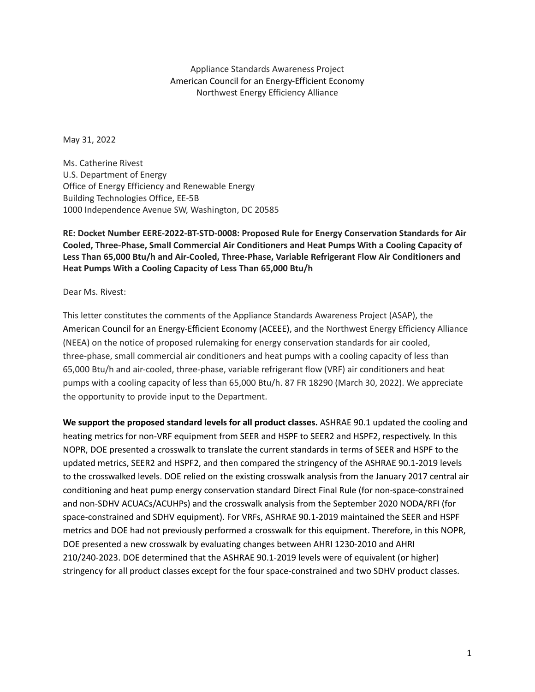Appliance Standards Awareness Project American Council for an Energy-Efficient Economy Northwest Energy Efficiency Alliance

May 31, 2022

Ms. Catherine Rivest U.S. Department of Energy Office of Energy Efficiency and Renewable Energy Building Technologies Office, EE-5B 1000 Independence Avenue SW, Washington, DC 20585

**RE: Docket Number EERE-2022-BT-STD-0008: Proposed Rule for Energy Conservation Standards for Air Cooled, Three-Phase, Small Commercial Air Conditioners and Heat Pumps With a Cooling Capacity of Less Than 65,000 Btu/h and Air-Cooled, Three-Phase, Variable Refrigerant Flow Air Conditioners and Heat Pumps With a Cooling Capacity of Less Than 65,000 Btu/h**

Dear Ms. Rivest:

This letter constitutes the comments of the Appliance Standards Awareness Project (ASAP), the American Council for an Energy-Efficient Economy (ACEEE), and the Northwest Energy Efficiency Alliance (NEEA) on the notice of proposed rulemaking for energy conservation standards for air cooled, three-phase, small commercial air conditioners and heat pumps with a cooling capacity of less than 65,000 Btu/h and air-cooled, three-phase, variable refrigerant flow (VRF) air conditioners and heat pumps with a cooling capacity of less than 65,000 Btu/h. 87 FR 18290 (March 30, 2022). We appreciate the opportunity to provide input to the Department.

**We support the proposed standard levels for all product classes.** ASHRAE 90.1 updated the cooling and heating metrics for non-VRF equipment from SEER and HSPF to SEER2 and HSPF2, respectively. In this NOPR, DOE presented a crosswalk to translate the current standards in terms of SEER and HSPF to the updated metrics, SEER2 and HSPF2, and then compared the stringency of the ASHRAE 90.1-2019 levels to the crosswalked levels. DOE relied on the existing crosswalk analysis from the January 2017 central air conditioning and heat pump energy conservation standard Direct Final Rule (for non-space-constrained and non-SDHV ACUACs/ACUHPs) and the crosswalk analysis from the September 2020 NODA/RFI (for space-constrained and SDHV equipment). For VRFs, ASHRAE 90.1-2019 maintained the SEER and HSPF metrics and DOE had not previously performed a crosswalk for this equipment. Therefore, in this NOPR, DOE presented a new crosswalk by evaluating changes between AHRI 1230-2010 and AHRI 210/240-2023. DOE determined that the ASHRAE 90.1-2019 levels were of equivalent (or higher) stringency for all product classes except for the four space-constrained and two SDHV product classes.